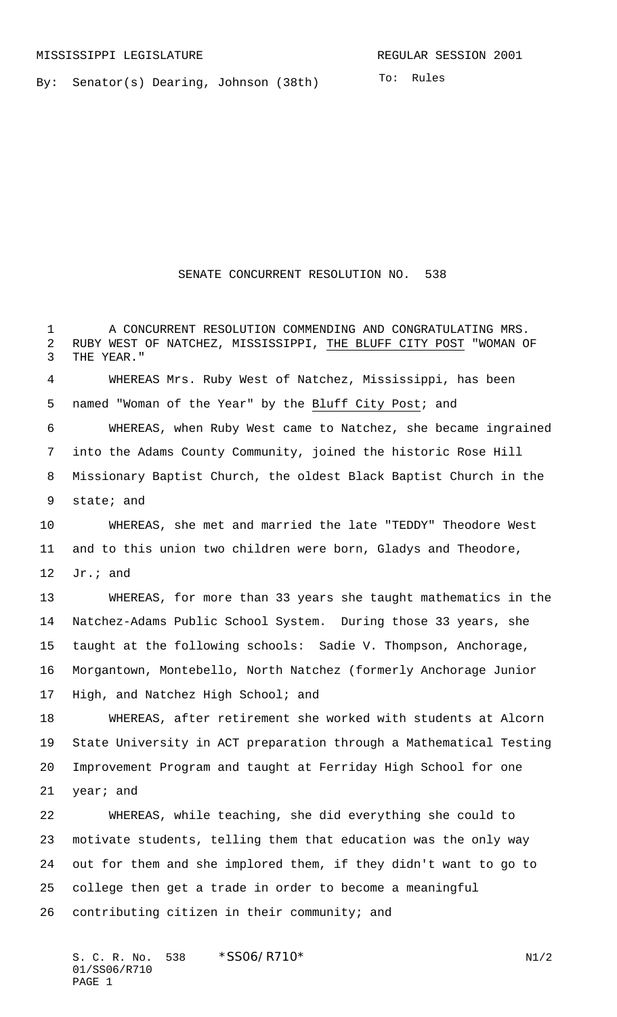By: Senator(s) Dearing, Johnson (38th)

## SENATE CONCURRENT RESOLUTION NO. 538

1 A CONCURRENT RESOLUTION COMMENDING AND CONGRATULATING MRS.

 RUBY WEST OF NATCHEZ, MISSISSIPPI, THE BLUFF CITY POST "WOMAN OF THE YEAR." WHEREAS Mrs. Ruby West of Natchez, Mississippi, has been named "Woman of the Year" by the Bluff City Post; and WHEREAS, when Ruby West came to Natchez, she became ingrained into the Adams County Community, joined the historic Rose Hill Missionary Baptist Church, the oldest Black Baptist Church in the state; and WHEREAS, she met and married the late "TEDDY" Theodore West and to this union two children were born, Gladys and Theodore, Jr.; and WHEREAS, for more than 33 years she taught mathematics in the Natchez-Adams Public School System. During those 33 years, she taught at the following schools: Sadie V. Thompson, Anchorage, Morgantown, Montebello, North Natchez (formerly Anchorage Junior High, and Natchez High School; and WHEREAS, after retirement she worked with students at Alcorn State University in ACT preparation through a Mathematical Testing Improvement Program and taught at Ferriday High School for one year; and WHEREAS, while teaching, she did everything she could to motivate students, telling them that education was the only way out for them and she implored them, if they didn't want to go to college then get a trade in order to become a meaningful contributing citizen in their community; and

S. C. R. No. \*SS06/R710\* N1/2 01/SS06/R710 PAGE 1